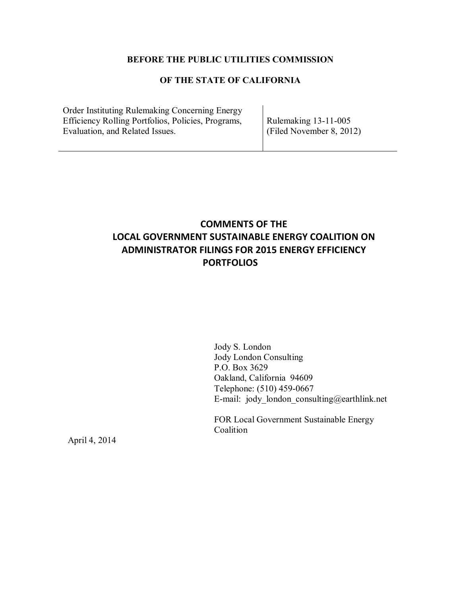## **BEFORE THE PUBLIC UTILITIES COMMISSION**

## **OF THE STATE OF CALIFORNIA**

Order Instituting Rulemaking Concerning Energy Efficiency Rolling Portfolios, Policies, Programs, Evaluation, and Related Issues.

Rulemaking 13-11-005 (Filed November 8, 2012)

# **COMMENTS OF THE LOCAL GOVERNMENT SUSTAINABLE ENERGY COALITION ON ADMINISTRATOR FILINGS FOR 2015 ENERGY EFFICIENCY PORTFOLIOS**

Jody S. London Jody London Consulting P.O. Box 3629 Oakland, California 94609 Telephone: (510) 459-0667 E-mail: jody london consulting@earthlink.net

FOR Local Government Sustainable Energy Coalition

April 4, 2014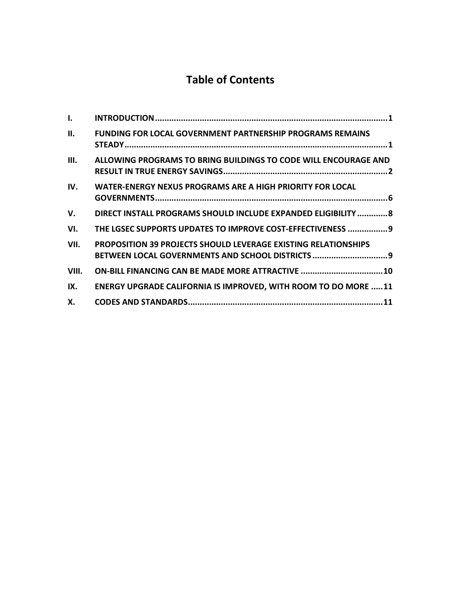# **Table of Contents**

| I.    |                                                                                                                            |
|-------|----------------------------------------------------------------------------------------------------------------------------|
| П.    | <b>FUNDING FOR LOCAL GOVERNMENT PARTNERSHIP PROGRAMS REMAINS</b>                                                           |
| Ш.    | ALLOWING PROGRAMS TO BRING BUILDINGS TO CODE WILL ENCOURAGE AND                                                            |
| IV.   | <b>WATER-ENERGY NEXUS PROGRAMS ARE A HIGH PRIORITY FOR LOCAL</b>                                                           |
| V.    | DIRECT INSTALL PROGRAMS SHOULD INCLUDE EXPANDED ELIGIBILITY  8                                                             |
| VI.   | THE LGSEC SUPPORTS UPDATES TO IMPROVE COST-EFFECTIVENESS  9                                                                |
| VII.  | <b>PROPOSITION 39 PROJECTS SHOULD LEVERAGE EXISTING RELATIONSHIPS</b><br>BETWEEN LOCAL GOVERNMENTS AND SCHOOL DISTRICTS  9 |
| VIII. | ON-BILL FINANCING CAN BE MADE MORE ATTRACTIVE  10                                                                          |
| IX.   | ENERGY UPGRADE CALIFORNIA IS IMPROVED, WITH ROOM TO DO MORE 11                                                             |
| Χ.    |                                                                                                                            |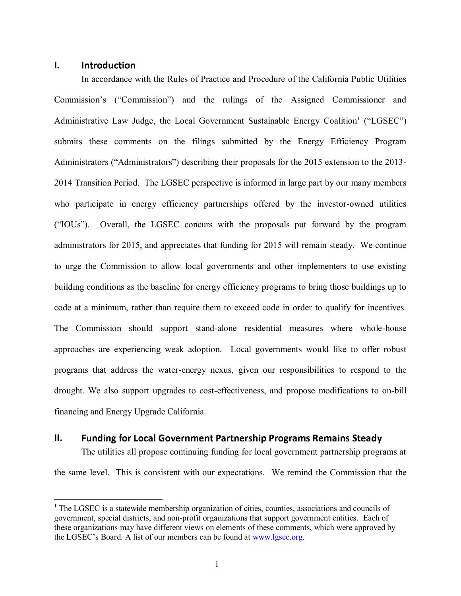#### <span id="page-2-0"></span>**I. Introduction**

 $\overline{a}$ 

In accordance with the Rules of Practice and Procedure of the California Public Utilities Commission's ("Commission") and the rulings of the Assigned Commissioner and Administrative Law Judge, the Local Government Sustainable Energy Coalition<sup>1</sup> ("LGSEC") submits these comments on the filings submitted by the Energy Efficiency Program Administrators ("Administrators") describing their proposals for the 2015 extension to the 2013- 2014 Transition Period. The LGSEC perspective is informed in large part by our many members who participate in energy efficiency partnerships offered by the investor-owned utilities ("IOUs"). Overall, the LGSEC concurs with the proposals put forward by the program administrators for 2015, and appreciates that funding for 2015 will remain steady. We continue to urge the Commission to allow local governments and other implementers to use existing building conditions as the baseline for energy efficiency programs to bring those buildings up to code at a minimum, rather than require them to exceed code in order to qualify for incentives. The Commission should support stand-alone residential measures where whole-house approaches are experiencing weak adoption. Local governments would like to offer robust programs that address the water-energy nexus, given our responsibilities to respond to the drought. We also support upgrades to cost-effectiveness, and propose modifications to on-bill financing and Energy Upgrade California.

#### <span id="page-2-1"></span>**II. Funding for Local Government Partnership Programs Remains Steady**

The utilities all propose continuing funding for local government partnership programs at the same level. This is consistent with our expectations. We remind the Commission that the

 $<sup>1</sup>$  The LGSEC is a statewide membership organization of cities, counties, associations and councils of</sup> government, special districts, and non-profit organizations that support government entities. Each of these organizations may have different views on elements of these comments, which were approved by the LGSEC's Board. A list of our members can be found at [www.lgsec.org.](http://www.lgsec.org/)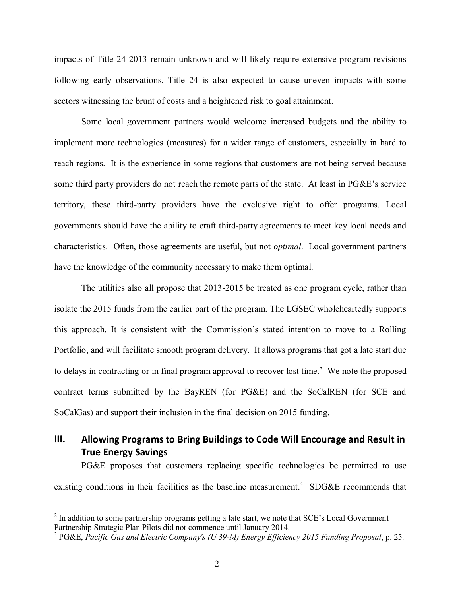impacts of Title 24 2013 remain unknown and will likely require extensive program revisions following early observations. Title 24 is also expected to cause uneven impacts with some sectors witnessing the brunt of costs and a heightened risk to goal attainment.

Some local government partners would welcome increased budgets and the ability to implement more technologies (measures) for a wider range of customers, especially in hard to reach regions. It is the experience in some regions that customers are not being served because some third party providers do not reach the remote parts of the state. At least in PG&E's service territory, these third-party providers have the exclusive right to offer programs. Local governments should have the ability to craft third-party agreements to meet key local needs and characteristics. Often, those agreements are useful, but not *optimal*. Local government partners have the knowledge of the community necessary to make them optimal.

The utilities also all propose that 2013-2015 be treated as one program cycle, rather than isolate the 2015 funds from the earlier part of the program. The LGSEC wholeheartedly supports this approach. It is consistent with the Commission's stated intention to move to a Rolling Portfolio, and will facilitate smooth program delivery. It allows programs that got a late start due to delays in contracting or in final program approval to recover lost time.<sup>2</sup> We note the proposed contract terms submitted by the BayREN (for PG&E) and the SoCalREN (for SCE and SoCalGas) and support their inclusion in the final decision on 2015 funding.

### <span id="page-3-0"></span>**III.** Allowing Programs to Bring Buildings to Code Will Encourage and Result in **True Energy Savings**

PG&E proposes that customers replacing specific technologies be permitted to use existing conditions in their facilities as the baseline measurement.<sup>3</sup> SDG&E recommends that

 $2^{2}$  In addition to some partnership programs getting a late start, we note that SCE's Local Government Partnership Strategic Plan Pilots did not commence until January 2014.

<sup>3</sup> PG&E, *Pacific Gas and Electric Company's (U 39-M) Energy Efficiency 2015 Funding Proposal*, p. 25.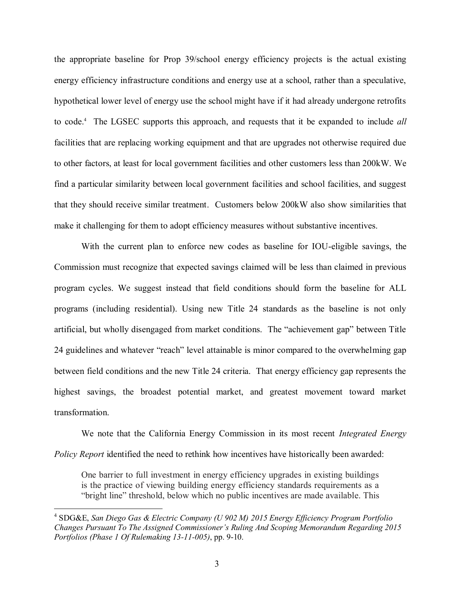the appropriate baseline for Prop 39/school energy efficiency projects is the actual existing energy efficiency infrastructure conditions and energy use at a school, rather than a speculative, hypothetical lower level of energy use the school might have if it had already undergone retrofits to code.<sup>4</sup> The LGSEC supports this approach, and requests that it be expanded to include *all* facilities that are replacing working equipment and that are upgrades not otherwise required due to other factors, at least for local government facilities and other customers less than 200kW. We find a particular similarity between local government facilities and school facilities, and suggest that they should receive similar treatment. Customers below 200kW also show similarities that make it challenging for them to adopt efficiency measures without substantive incentives.

With the current plan to enforce new codes as baseline for IOU-eligible savings, the Commission must recognize that expected savings claimed will be less than claimed in previous program cycles. We suggest instead that field conditions should form the baseline for ALL programs (including residential). Using new Title 24 standards as the baseline is not only artificial, but wholly disengaged from market conditions. The "achievement gap" between Title 24 guidelines and whatever "reach" level attainable is minor compared to the overwhelming gap between field conditions and the new Title 24 criteria. That energy efficiency gap represents the highest savings, the broadest potential market, and greatest movement toward market transformation.

We note that the California Energy Commission in its most recent *Integrated Energy Policy Report* identified the need to rethink how incentives have historically been awarded:

One barrier to full investment in energy efficiency upgrades in existing buildings is the practice of viewing building energy efficiency standards requirements as a "bright line" threshold, below which no public incentives are made available. This

<sup>4</sup> SDG&E, *San Diego Gas & Electric Company (U 902 M) 2015 Energy Efficiency Program Portfolio Changes Pursuant To The Assigned Commissioner's Ruling And Scoping Memorandum Regarding 2015 Portfolios (Phase 1 Of Rulemaking 13-11-005)*, pp. 9-10.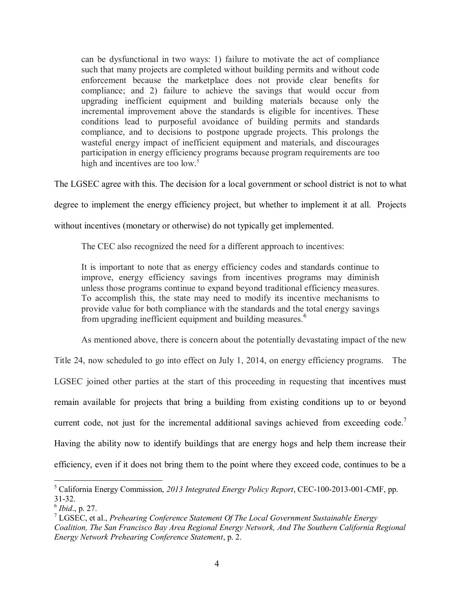can be dysfunctional in two ways: 1) failure to motivate the act of compliance such that many projects are completed without building permits and without code enforcement because the marketplace does not provide clear benefits for compliance; and 2) failure to achieve the savings that would occur from upgrading inefficient equipment and building materials because only the incremental improvement above the standards is eligible for incentives. These conditions lead to purposeful avoidance of building permits and standards compliance, and to decisions to postpone upgrade projects. This prolongs the wasteful energy impact of inefficient equipment and materials, and discourages participation in energy efficiency programs because program requirements are too high and incentives are too low.<sup>5</sup>

The LGSEC agree with this. The decision for a local government or school district is not to what

degree to implement the energy efficiency project, but whether to implement it at all. Projects

without incentives (monetary or otherwise) do not typically get implemented.

The CEC also recognized the need for a different approach to incentives:

It is important to note that as energy efficiency codes and standards continue to improve, energy efficiency savings from incentives programs may diminish unless those programs continue to expand beyond traditional efficiency measures. To accomplish this, the state may need to modify its incentive mechanisms to provide value for both compliance with the standards and the total energy savings from upgrading inefficient equipment and building measures.<sup>6</sup>

As mentioned above, there is concern about the potentially devastating impact of the new

Title 24, now scheduled to go into effect on July 1, 2014, on energy efficiency programs. The

LGSEC joined other parties at the start of this proceeding in requesting that incentives must

remain available for projects that bring a building from existing conditions up to or beyond

current code, not just for the incremental additional savings achieved from exceeding code.<sup>7</sup>

Having the ability now to identify buildings that are energy hogs and help them increase their

efficiency, even if it does not bring them to the point where they exceed code, continues to be a

<sup>5</sup> California Energy Commission, *2013 Integrated Energy Policy Report*, CEC-100-2013-001-CMF, pp. 31-32.

<sup>6</sup> *Ibid*., p. 27.

<sup>7</sup> LGSEC, et al., *Prehearing Conference Statement Of The Local Government Sustainable Energy Coalition, The San Francisco Bay Area Regional Energy Network, And The Southern California Regional Energy Network Prehearing Conference Statement*, p. 2.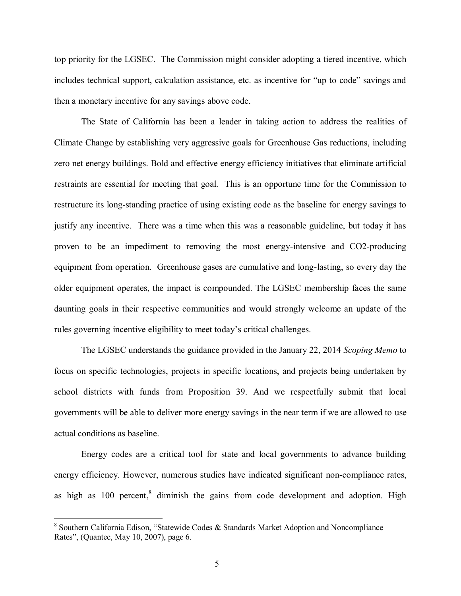top priority for the LGSEC. The Commission might consider adopting a tiered incentive, which includes technical support, calculation assistance, etc. as incentive for "up to code" savings and then a monetary incentive for any savings above code.

The State of California has been a leader in taking action to address the realities of Climate Change by establishing very aggressive goals for Greenhouse Gas reductions, including zero net energy buildings. Bold and effective energy efficiency initiatives that eliminate artificial restraints are essential for meeting that goal. This is an opportune time for the Commission to restructure its long-standing practice of using existing code as the baseline for energy savings to justify any incentive. There was a time when this was a reasonable guideline, but today it has proven to be an impediment to removing the most energy-intensive and CO2-producing equipment from operation. Greenhouse gases are cumulative and long-lasting, so every day the older equipment operates, the impact is compounded. The LGSEC membership faces the same daunting goals in their respective communities and would strongly welcome an update of the rules governing incentive eligibility to meet today's critical challenges.

The LGSEC understands the guidance provided in the January 22, 2014 *Scoping Memo* to focus on specific technologies, projects in specific locations, and projects being undertaken by school districts with funds from Proposition 39. And we respectfully submit that local governments will be able to deliver more energy savings in the near term if we are allowed to use actual conditions as baseline.

Energy codes are a critical tool for state and local governments to advance building energy efficiency. However, numerous studies have indicated significant non-compliance rates, as high as 100 percent,<sup>8</sup> diminish the gains from code development and adoption. High

<sup>&</sup>lt;sup>8</sup> Southern California Edison, "Statewide Codes & Standards Market Adoption and Noncompliance Rates", (Quantec, May 10, 2007), page 6.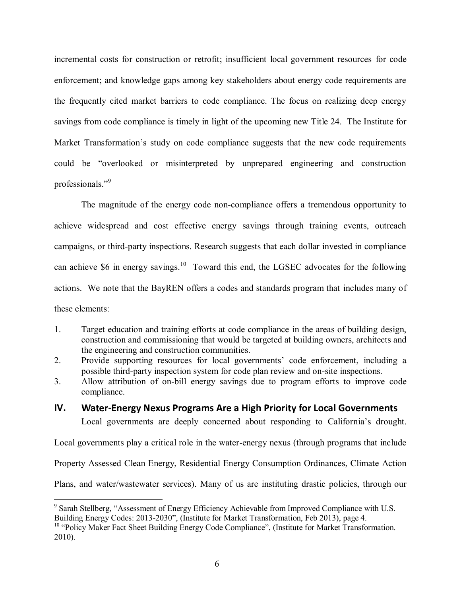incremental costs for construction or retrofit; insufficient local government resources for code enforcement; and knowledge gaps among key stakeholders about energy code requirements are the frequently cited market barriers to code compliance. The focus on realizing deep energy savings from code compliance is timely in light of the upcoming new Title 24. The Institute for Market Transformation's study on code compliance suggests that the new code requirements could be "overlooked or misinterpreted by unprepared engineering and construction professionals." 9

The magnitude of the energy code non-compliance offers a tremendous opportunity to achieve widespread and cost effective energy savings through training events, outreach campaigns, or third-party inspections. Research suggests that each dollar invested in compliance can achieve \$6 in energy savings.<sup>10</sup> Toward this end, the LGSEC advocates for the following actions. We note that the BayREN offers a codes and standards program that includes many of these elements:

- 1. Target education and training efforts at code compliance in the areas of building design, construction and commissioning that would be targeted at building owners, architects and the engineering and construction communities.
- 2. Provide supporting resources for local governments' code enforcement, including a possible third-party inspection system for code plan review and on-site inspections.
- 3. Allow attribution of on-bill energy savings due to program efforts to improve code compliance.
- <span id="page-7-0"></span>**IV.** Water-Energy Nexus Programs Are a High Priority for Local Governments Local governments are deeply concerned about responding to California's drought.

Local governments play a critical role in the water-energy nexus (through programs that include

Property Assessed Clean Energy, Residential Energy Consumption Ordinances, Climate Action

Plans, and water/wastewater services). Many of us are instituting drastic policies, through our

<sup>&</sup>lt;sup>9</sup> Sarah Stellberg, "Assessment of Energy Efficiency Achievable from Improved Compliance with U.S. Building Energy Codes: 2013-2030", (Institute for Market Transformation, Feb 2013), page 4.

<sup>&</sup>lt;sup>10</sup> "Policy Maker Fact Sheet Building Energy Code Compliance", (Institute for Market Transformation. 2010).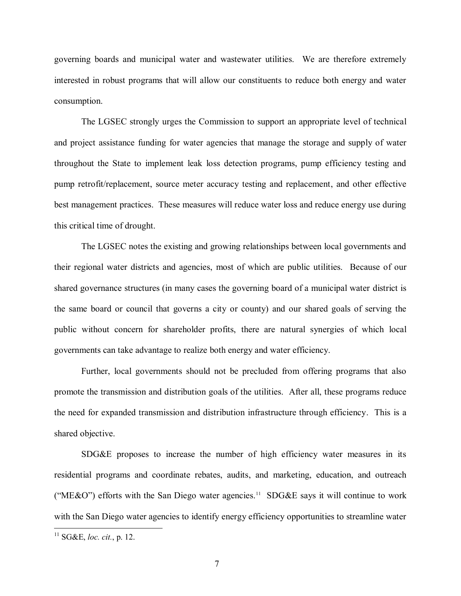governing boards and municipal water and wastewater utilities. We are therefore extremely interested in robust programs that will allow our constituents to reduce both energy and water consumption.

The LGSEC strongly urges the Commission to support an appropriate level of technical and project assistance funding for water agencies that manage the storage and supply of water throughout the State to implement leak loss detection programs, pump efficiency testing and pump retrofit/replacement, source meter accuracy testing and replacement, and other effective best management practices. These measures will reduce water loss and reduce energy use during this critical time of drought.

The LGSEC notes the existing and growing relationships between local governments and their regional water districts and agencies, most of which are public utilities. Because of our shared governance structures (in many cases the governing board of a municipal water district is the same board or council that governs a city or county) and our shared goals of serving the public without concern for shareholder profits, there are natural synergies of which local governments can take advantage to realize both energy and water efficiency.

Further, local governments should not be precluded from offering programs that also promote the transmission and distribution goals of the utilities. After all, these programs reduce the need for expanded transmission and distribution infrastructure through efficiency. This is a shared objective.

SDG&E proposes to increase the number of high efficiency water measures in its residential programs and coordinate rebates, audits, and marketing, education, and outreach ("ME&O") efforts with the San Diego water agencies.<sup>11</sup> SDG&E says it will continue to work with the San Diego water agencies to identify energy efficiency opportunities to streamline water

<sup>11</sup> SG&E, *loc. cit.*, p. 12.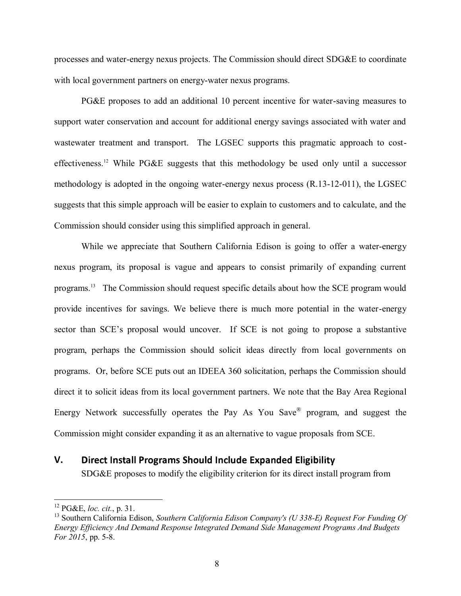processes and water-energy nexus projects. The Commission should direct SDG&E to coordinate with local government partners on energy-water nexus programs.

PG&E proposes to add an additional 10 percent incentive for water-saving measures to support water conservation and account for additional energy savings associated with water and wastewater treatment and transport. The LGSEC supports this pragmatic approach to costeffectiveness.<sup>12</sup> While PG&E suggests that this methodology be used only until a successor methodology is adopted in the ongoing water-energy nexus process (R.13-12-011), the LGSEC suggests that this simple approach will be easier to explain to customers and to calculate, and the Commission should consider using this simplified approach in general.

While we appreciate that Southern California Edison is going to offer a water-energy nexus program, its proposal is vague and appears to consist primarily of expanding current programs. <sup>13</sup> The Commission should request specific details about how the SCE program would provide incentives for savings. We believe there is much more potential in the water-energy sector than SCE's proposal would uncover. If SCE is not going to propose a substantive program, perhaps the Commission should solicit ideas directly from local governments on programs. Or, before SCE puts out an IDEEA 360 solicitation, perhaps the Commission should direct it to solicit ideas from its local government partners. We note that the Bay Area Regional Energy Network successfully operates the Pay As You Save<sup>®</sup> program, and suggest the Commission might consider expanding it as an alternative to vague proposals from SCE.

### <span id="page-9-0"></span>**V.** Direct Install Programs Should Include Expanded Eligibility

SDG&E proposes to modify the eligibility criterion for its direct install program from

<sup>12</sup> PG&E, *loc. cit.*, p. 31.

<sup>13</sup> Southern California Edison, *Southern California Edison Company's (U 338-E) Request For Funding Of Energy Efficiency And Demand Response Integrated Demand Side Management Programs And Budgets For 2015*, pp. 5-8.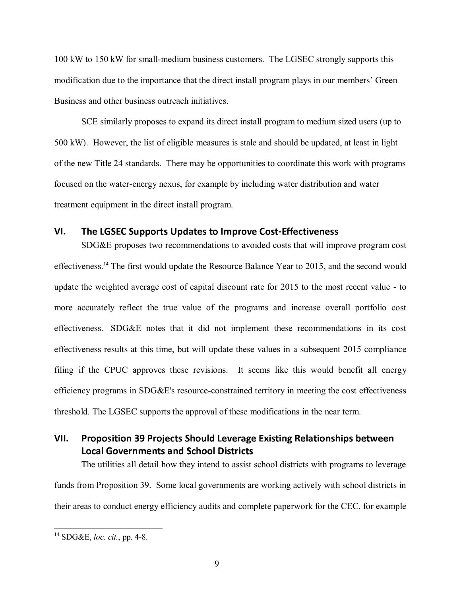100 kW to 150 kW for small-medium business customers. The LGSEC strongly supports this modification due to the importance that the direct install program plays in our members' Green Business and other business outreach initiatives.

SCE similarly proposes to expand its direct install program to medium sized users (up to 500 kW). However, the list of eligible measures is stale and should be updated, at least in light of the new Title 24 standards. There may be opportunities to coordinate this work with programs focused on the water-energy nexus, for example by including water distribution and water treatment equipment in the direct install program.

### <span id="page-10-0"></span>VI. The LGSEC Supports Updates to Improve Cost-Effectiveness

SDG&E proposes two recommendations to avoided costs that will improve program cost effectiveness.<sup>14</sup> The first would update the Resource Balance Year to 2015, and the second would update the weighted average cost of capital discount rate for 2015 to the most recent value - to more accurately reflect the true value of the programs and increase overall portfolio cost effectiveness. SDG&E notes that it did not implement these recommendations in its cost effectiveness results at this time, but will update these values in a subsequent 2015 compliance filing if the CPUC approves these revisions. It seems like this would benefit all energy efficiency programs in SDG&E's resource-constrained territory in meeting the cost effectiveness threshold. The LGSEC supports the approval of these modifications in the near term.

### <span id="page-10-1"></span>**VII. Proposition 39 Projects Should Leverage Existing Relationships between Local Governments and School Districts**

The utilities all detail how they intend to assist school districts with programs to leverage funds from Proposition 39. Some local governments are working actively with school districts in their areas to conduct energy efficiency audits and complete paperwork for the CEC, for example

<sup>14</sup> SDG&E, *loc. cit.*, pp. 4-8.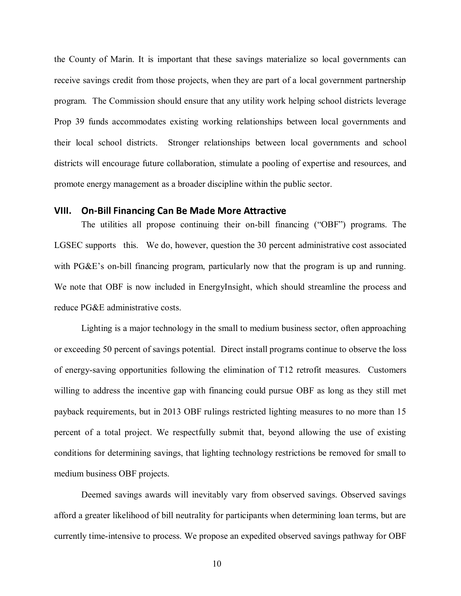the County of Marin. It is important that these savings materialize so local governments can receive savings credit from those projects, when they are part of a local government partnership program. The Commission should ensure that any utility work helping school districts leverage Prop 39 funds accommodates existing working relationships between local governments and their local school districts. Stronger relationships between local governments and school districts will encourage future collaboration, stimulate a pooling of expertise and resources, and promote energy management as a broader discipline within the public sector.

### <span id="page-11-0"></span>**VIII.** On-Bill Financing Can Be Made More Attractive

The utilities all propose continuing their on-bill financing ("OBF") programs. The LGSEC supports this. We do, however, question the 30 percent administrative cost associated with PG&E's on-bill financing program, particularly now that the program is up and running. We note that OBF is now included in EnergyInsight, which should streamline the process and reduce PG&E administrative costs.

Lighting is a major technology in the small to medium business sector, often approaching or exceeding 50 percent of savings potential. Direct install programs continue to observe the loss of energy-saving opportunities following the elimination of T12 retrofit measures. Customers willing to address the incentive gap with financing could pursue OBF as long as they still met payback requirements, but in 2013 OBF rulings restricted lighting measures to no more than 15 percent of a total project. We respectfully submit that, beyond allowing the use of existing conditions for determining savings, that lighting technology restrictions be removed for small to medium business OBF projects.

Deemed savings awards will inevitably vary from observed savings. Observed savings afford a greater likelihood of bill neutrality for participants when determining loan terms, but are currently time-intensive to process. We propose an expedited observed savings pathway for OBF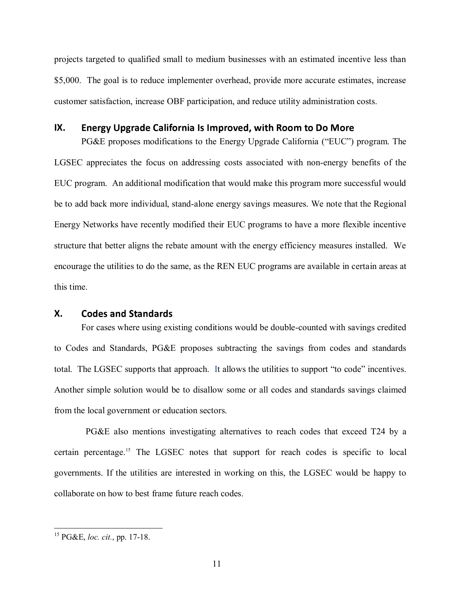projects targeted to qualified small to medium businesses with an estimated incentive less than \$5,000. The goal is to reduce implementer overhead, provide more accurate estimates, increase customer satisfaction, increase OBF participation, and reduce utility administration costs.

#### <span id="page-12-0"></span>**IX. Energy Upgrade California Is Improved, with Room to Do More**

PG&E proposes modifications to the Energy Upgrade California ("EUC") program. The LGSEC appreciates the focus on addressing costs associated with non-energy benefits of the EUC program. An additional modification that would make this program more successful would be to add back more individual, stand-alone energy savings measures. We note that the Regional Energy Networks have recently modified their EUC programs to have a more flexible incentive structure that better aligns the rebate amount with the energy efficiency measures installed. We encourage the utilities to do the same, as the REN EUC programs are available in certain areas at this time.

#### <span id="page-12-1"></span>**X. Codes and Standards**

For cases where using existing conditions would be double-counted with savings credited to Codes and Standards, PG&E proposes subtracting the savings from codes and standards total. The LGSEC supports that approach. It allows the utilities to support "to code" incentives. Another simple solution would be to disallow some or all codes and standards savings claimed from the local government or education sectors.

PG&E also mentions investigating alternatives to reach codes that exceed T24 by a certain percentage. <sup>15</sup> The LGSEC notes that support for reach codes is specific to local governments. If the utilities are interested in working on this, the LGSEC would be happy to collaborate on how to best frame future reach codes.

<sup>15</sup> PG&E, *loc. cit.*, pp. 17-18.